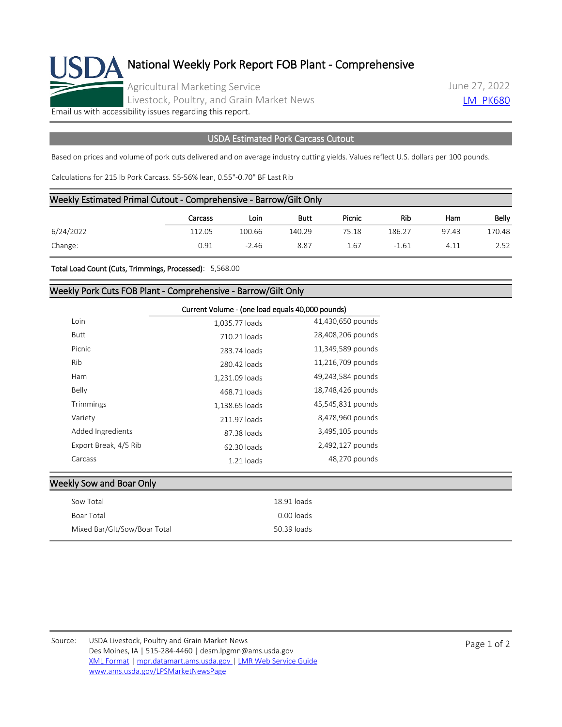

## National Weekly Pork Report FOB Plant - Comprehensive

Agricultural Marketing Service Livestock, Poultry, and Grain Market News June 27, 2022 **[LM\\_PK680](https://mpr.datamart.ams.usda.gov/ws/report/v1/pork/LM_PK680?filter=%7B%22filters%22:%5B%7B%22fieldName%22:%22Report%20date%22,%22operatorType%22:%22EQUAL%22,%22values%22:%5B%226/27/2022%22%5D%7D%5D%7D)** 

[Email us with accessibility issues regarding this report.](mailto:mpr.lpgmn@ams.usda.gov?subject=508%20Issue)

## USDA Estimated Pork Carcass Cutout

Based on prices and volume of pork cuts delivered and on average industry cutting yields. Values reflect U.S. dollars per 100 pounds.

Calculations for 215 lb Pork Carcass. 55-56% lean, 0.55"-0.70" BF Last Rib

| Weekly Estimated Primal Cutout - Comprehensive - Barrow/Gilt Only |         |         |        |        |         |       |        |
|-------------------------------------------------------------------|---------|---------|--------|--------|---------|-------|--------|
|                                                                   | Carcass | Loin    | Butt   | Picnic | Rib     | Ham   | Belly  |
| 6/24/2022                                                         | 112.05  | 100.66  | 140.29 | 75.18  | 186.27  | 97.43 | 170.48 |
| Change:                                                           | 0.91    | $-2.46$ | 8.87   | 1.67   | $-1.61$ | 4.11  | 2.52   |

Total Load Count (Cuts, Trimmings, Processed): 5,568.00

## Weekly Pork Cuts FOB Plant - Comprehensive - Barrow/Gilt Only

|                       | Current Volume - (one load equals 40,000 pounds) |                   |
|-----------------------|--------------------------------------------------|-------------------|
| Loin                  | 1,035.77 loads                                   | 41,430,650 pounds |
| Butt                  | 710.21 loads                                     | 28,408,206 pounds |
| Picnic                | 283.74 loads                                     | 11,349,589 pounds |
| Rib                   | 280.42 loads                                     | 11,216,709 pounds |
| Ham                   | 1,231.09 loads                                   | 49,243,584 pounds |
| Belly                 | 468.71 loads                                     | 18,748,426 pounds |
| Trimmings             | 1,138.65 loads                                   | 45,545,831 pounds |
| Variety               | 211.97 loads                                     | 8,478,960 pounds  |
| Added Ingredients     | 87.38 loads                                      | 3,495,105 pounds  |
| Export Break, 4/5 Rib | 62.30 loads                                      | 2,492,127 pounds  |
| Carcass               | $1.21$ loads                                     | 48,270 pounds     |

| <b>Weekly Sow and Boar Only</b> |  |
|---------------------------------|--|

| Sow Total                    | 18.91 loads |
|------------------------------|-------------|
| Boar Total                   | 0.00 loads  |
| Mixed Bar/Glt/Sow/Boar Total | 50.39 loads |